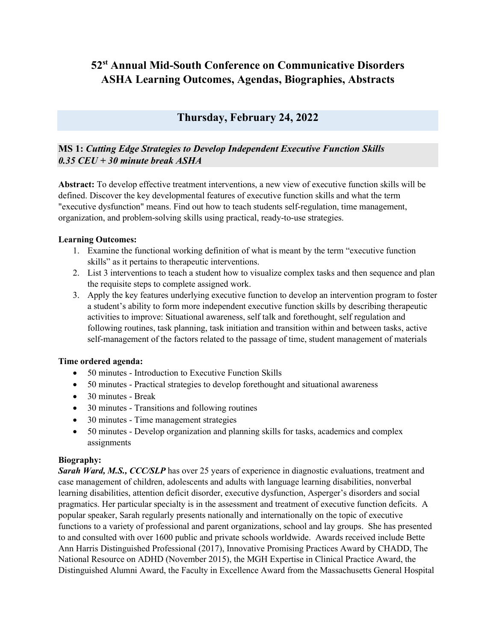# **52st Annual Mid-South Conference on Communicative Disorders ASHA Learning Outcomes, Agendas, Biographies, Abstracts**

## **Thursday, February 24, 2022**

## **MS 1:** *Cutting Edge Strategies to Develop Independent Executive Function Skills 0.35 CEU + 30 minute break ASHA*

**Abstract:** To develop effective treatment interventions, a new view of executive function skills will be defined. Discover the key developmental features of executive function skills and what the term "executive dysfunction" means. Find out how to teach students self-regulation, time management, organization, and problem-solving skills using practical, ready-to-use strategies.

## **Learning Outcomes:**

- 1. Examine the functional working definition of what is meant by the term "executive function skills" as it pertains to therapeutic interventions.
- 2. List 3 interventions to teach a student how to visualize complex tasks and then sequence and plan the requisite steps to complete assigned work.
- 3. Apply the key features underlying executive function to develop an intervention program to foster a student's ability to form more independent executive function skills by describing therapeutic activities to improve: Situational awareness, self talk and forethought, self regulation and following routines, task planning, task initiation and transition within and between tasks, active self-management of the factors related to the passage of time, student management of materials

## **Time ordered agenda:**

- 50 minutes Introduction to Executive Function Skills
- 50 minutes Practical strategies to develop forethought and situational awareness
- 30 minutes Break
- 30 minutes Transitions and following routines
- 30 minutes Time management strategies
- 50 minutes Develop organization and planning skills for tasks, academics and complex assignments

## **Biography:**

*Sarah Ward, M.S., CCC/SLP* has over 25 years of experience in diagnostic evaluations, treatment and case management of children, adolescents and adults with language learning disabilities, nonverbal learning disabilities, attention deficit disorder, executive dysfunction, Asperger's disorders and social pragmatics. Her particular specialty is in the assessment and treatment of executive function deficits. A popular speaker, Sarah regularly presents nationally and internationally on the topic of executive functions to a variety of professional and parent organizations, school and lay groups. She has presented to and consulted with over 1600 public and private schools worldwide. Awards received include Bette Ann Harris Distinguished Professional (2017), Innovative Promising Practices Award by CHADD, The National Resource on ADHD (November 2015), the MGH Expertise in Clinical Practice Award, the Distinguished Alumni Award, the Faculty in Excellence Award from the Massachusetts General Hospital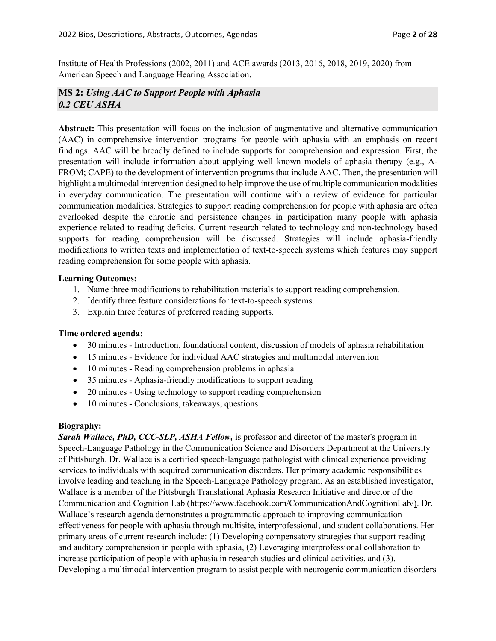Institute of Health Professions (2002, 2011) and ACE awards (2013, 2016, 2018, 2019, 2020) from American Speech and Language Hearing Association.

## **MS 2:** *Using AAC to Support People with Aphasia 0.2 CEU ASHA*

**Abstract:** This presentation will focus on the inclusion of augmentative and alternative communication (AAC) in comprehensive intervention programs for people with aphasia with an emphasis on recent findings. AAC will be broadly defined to include supports for comprehension and expression. First, the presentation will include information about applying well known models of aphasia therapy (e.g., A-FROM; CAPE) to the development of intervention programs that include AAC. Then, the presentation will highlight a multimodal intervention designed to help improve the use of multiple communication modalities in everyday communication. The presentation will continue with a review of evidence for particular communication modalities. Strategies to support reading comprehension for people with aphasia are often overlooked despite the chronic and persistence changes in participation many people with aphasia experience related to reading deficits. Current research related to technology and non-technology based supports for reading comprehension will be discussed. Strategies will include aphasia-friendly modifications to written texts and implementation of text-to-speech systems which features may support reading comprehension for some people with aphasia.

#### **Learning Outcomes:**

- 1. Name three modifications to rehabilitation materials to support reading comprehension.
- 2. Identify three feature considerations for text-to-speech systems.
- 3. Explain three features of preferred reading supports.

#### **Time ordered agenda:**

- 30 minutes Introduction, foundational content, discussion of models of aphasia rehabilitation
- 15 minutes Evidence for individual AAC strategies and multimodal intervention
- 10 minutes Reading comprehension problems in aphasia
- 35 minutes Aphasia-friendly modifications to support reading
- 20 minutes Using technology to support reading comprehension
- 10 minutes Conclusions, takeaways, questions

#### **Biography:**

*Sarah Wallace, PhD, CCC-SLP, ASHA Fellow,* is professor and director of the master's program in Speech-Language Pathology in the Communication Science and Disorders Department at the University of Pittsburgh. Dr. Wallace is a certified speech-language pathologist with clinical experience providing services to individuals with acquired communication disorders. Her primary academic responsibilities involve leading and teaching in the Speech-Language Pathology program. As an established investigator, Wallace is a member of the Pittsburgh Translational Aphasia Research Initiative and director of the Communication and Cognition Lab (https://www.facebook.com/CommunicationAndCognitionLab/). Dr. Wallace's research agenda demonstrates a programmatic approach to improving communication effectiveness for people with aphasia through multisite, interprofessional, and student collaborations. Her primary areas of current research include: (1) Developing compensatory strategies that support reading and auditory comprehension in people with aphasia, (2) Leveraging interprofessional collaboration to increase participation of people with aphasia in research studies and clinical activities, and (3). Developing a multimodal intervention program to assist people with neurogenic communication disorders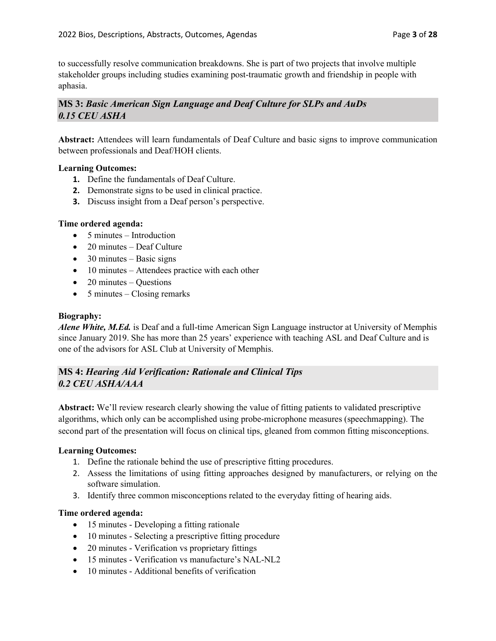to successfully resolve communication breakdowns. She is part of two projects that involve multiple stakeholder groups including studies examining post-traumatic growth and friendship in people with aphasia.

## **MS 3:** *Basic American Sign Language and Deaf Culture for SLPs and AuDs 0.15 CEU ASHA*

**Abstract:** Attendees will learn fundamentals of Deaf Culture and basic signs to improve communication between professionals and Deaf/HOH clients.

#### **Learning Outcomes:**

- **1.** Define the fundamentals of Deaf Culture.
- **2.** Demonstrate signs to be used in clinical practice.
- **3.** Discuss insight from a Deaf person's perspective.

#### **Time ordered agenda:**

- 5 minutes Introduction
- 20 minutes Deaf Culture
- $\bullet$  30 minutes Basic signs
- 10 minutes Attendees practice with each other
- 20 minutes Ouestions
- $\bullet$  5 minutes Closing remarks

#### **Biography:**

*Alene White, M.Ed.* is Deaf and a full-time American Sign Language instructor at University of Memphis since January 2019. She has more than 25 years' experience with teaching ASL and Deaf Culture and is one of the advisors for ASL Club at University of Memphis.

## **MS 4:** *Hearing Aid Verification: Rationale and Clinical Tips 0.2 CEU ASHA/AAA*

**Abstract:** We'll review research clearly showing the value of fitting patients to validated prescriptive algorithms, which only can be accomplished using probe-microphone measures (speechmapping). The second part of the presentation will focus on clinical tips, gleaned from common fitting misconceptions.

#### **Learning Outcomes:**

- 1. Define the rationale behind the use of prescriptive fitting procedures.
- 2. Assess the limitations of using fitting approaches designed by manufacturers, or relying on the software simulation.
- 3. Identify three common misconceptions related to the everyday fitting of hearing aids.

#### **Time ordered agenda:**

- 15 minutes Developing a fitting rationale
- 10 minutes Selecting a prescriptive fitting procedure
- 20 minutes Verification vs proprietary fittings
- 15 minutes Verification vs manufacture's NAL-NL2
- 10 minutes Additional benefits of verification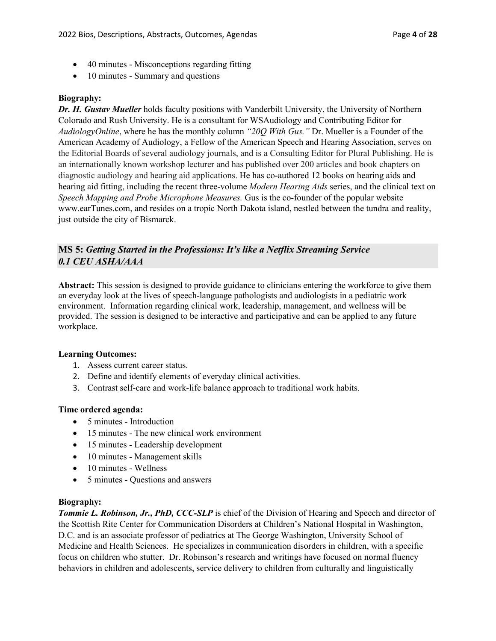- 40 minutes Misconceptions regarding fitting
- 10 minutes Summary and questions

## **Biography:**

*Dr. H. Gustav Mueller* holds faculty positions with Vanderbilt University, the University of Northern Colorado and Rush University. He is a consultant for WSAudiology and Contributing Editor for *AudiologyOnline*, where he has the monthly column *"20Q With Gus."* Dr. Mueller is a Founder of the American Academy of Audiology, a Fellow of the American Speech and Hearing Association, serves on the Editorial Boards of several audiology journals, and is a Consulting Editor for Plural Publishing. He is an internationally known workshop lecturer and has published over 200 articles and book chapters on diagnostic audiology and hearing aid applications. He has co-authored 12 books on hearing aids and hearing aid fitting, including the recent three-volume *Modern Hearing Aids* series, and the clinical text on *Speech Mapping and Probe Microphone Measures.* Gus is the co-founder of the popular website www.earTunes.com, and resides on a tropic North Dakota island, nestled between the tundra and reality, just outside the city of Bismarck.

## **MS 5:** *Getting Started in the Professions: It's like a Netflix Streaming Service 0.1 CEU ASHA/AAA*

**Abstract:** This session is designed to provide guidance to clinicians entering the workforce to give them an everyday look at the lives of speech-language pathologists and audiologists in a pediatric work environment. Information regarding clinical work, leadership, management, and wellness will be provided. The session is designed to be interactive and participative and can be applied to any future workplace.

#### **Learning Outcomes:**

- 1. Assess current career status.
- 2. Define and identify elements of everyday clinical activities.
- 3. Contrast self-care and work-life balance approach to traditional work habits.

#### **Time ordered agenda:**

- 5 minutes Introduction
- 15 minutes The new clinical work environment
- 15 minutes Leadership development
- 10 minutes Management skills
- 10 minutes Wellness
- 5 minutes Questions and answers

#### **Biography:**

**Tommie L. Robinson, Jr., PhD, CCC-SLP** is chief of the Division of Hearing and Speech and director of the Scottish Rite Center for Communication Disorders at Children's National Hospital in Washington, D.C. and is an associate professor of pediatrics at The George Washington, University School of Medicine and Health Sciences. He specializes in communication disorders in children, with a specific focus on children who stutter. Dr. Robinson's research and writings have focused on normal fluency behaviors in children and adolescents, service delivery to children from culturally and linguistically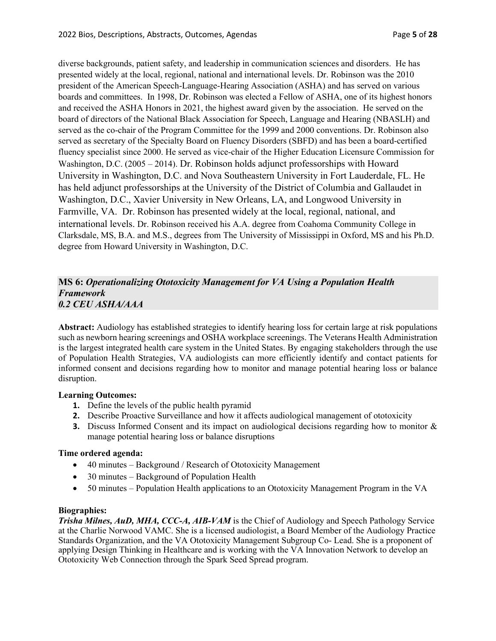diverse backgrounds, patient safety, and leadership in communication sciences and disorders. He has presented widely at the local, regional, national and international levels. Dr. Robinson was the 2010 president of the American Speech-Language-Hearing Association (ASHA) and has served on various boards and committees. In 1998, Dr. Robinson was elected a Fellow of ASHA, one of its highest honors and received the ASHA Honors in 2021, the highest award given by the association. He served on the board of directors of the National Black Association for Speech, Language and Hearing (NBASLH) and served as the co-chair of the Program Committee for the 1999 and 2000 conventions. Dr. Robinson also served as secretary of the Specialty Board on Fluency Disorders (SBFD) and has been a board-certified fluency specialist since 2000. He served as vice-chair of the Higher Education Licensure Commission for Washington, D.C. (2005 – 2014). Dr. Robinson holds adjunct professorships with Howard University in Washington, D.C. and Nova Southeastern University in Fort Lauderdale, FL. He has held adjunct professorships at the University of the District of Columbia and Gallaudet in Washington, D.C., Xavier University in New Orleans, LA, and Longwood University in Farmville, VA. Dr. Robinson has presented widely at the local, regional, national, and international levels. Dr. Robinson received his A.A. degree from Coahoma Community College in Clarksdale, MS, B.A. and M.S., degrees from The University of Mississippi in Oxford, MS and his Ph.D. degree from Howard University in Washington, D.C.

### **MS 6:** *Operationalizing Ototoxicity Management for VA Using a Population Health Framework 0.2 CEU ASHA/AAA*

**Abstract:** Audiology has established strategies to identify hearing loss for certain large at risk populations such as newborn hearing screenings and OSHA workplace screenings. The Veterans Health Administration is the largest integrated health care system in the United States. By engaging stakeholders through the use of Population Health Strategies, VA audiologists can more efficiently identify and contact patients for informed consent and decisions regarding how to monitor and manage potential hearing loss or balance disruption.

#### **Learning Outcomes:**

- **1.** Define the levels of the public health pyramid
- **2.** Describe Proactive Surveillance and how it affects audiological management of ototoxicity
- **3.** Discuss Informed Consent and its impact on audiological decisions regarding how to monitor & manage potential hearing loss or balance disruptions

#### **Time ordered agenda:**

- 40 minutes Background / Research of Ototoxicity Management
- 30 minutes Background of Population Health
- 50 minutes Population Health applications to an Ototoxicity Management Program in the VA

#### **Biographies:**

*Trisha Milnes, AuD, MHA, CCC-A, AIB-VAM* is the Chief of Audiology and Speech Pathology Service at the Charlie Norwood VAMC. She is a licensed audiologist, a Board Member of the Audiology Practice Standards Organization, and the VA Ototoxicity Management Subgroup Co- Lead. She is a proponent of applying Design Thinking in Healthcare and is working with the VA Innovation Network to develop an Ototoxicity Web Connection through the Spark Seed Spread program.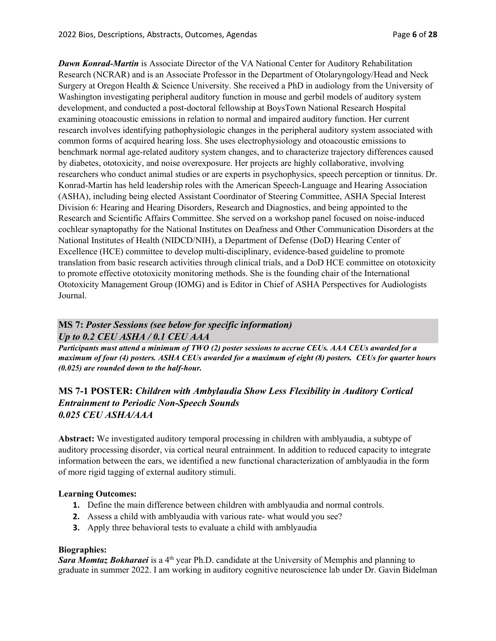*Dawn Konrad-Martin* is Associate Director of the VA National Center for Auditory Rehabilitation Research (NCRAR) and is an Associate Professor in the Department of Otolaryngology/Head and Neck Surgery at Oregon Health & Science University. She received a PhD in audiology from the University of Washington investigating peripheral auditory function in mouse and gerbil models of auditory system development, and conducted a post-doctoral fellowship at BoysTown National Research Hospital examining otoacoustic emissions in relation to normal and impaired auditory function. Her current research involves identifying pathophysiologic changes in the peripheral auditory system associated with common forms of acquired hearing loss. She uses electrophysiology and otoacoustic emissions to benchmark normal age-related auditory system changes, and to characterize trajectory differences caused by diabetes, ototoxicity, and noise overexposure. Her projects are highly collaborative, involving researchers who conduct animal studies or are experts in psychophysics, speech perception or tinnitus. Dr. Konrad-Martin has held leadership roles with the American Speech-Language and Hearing Association (ASHA), including being elected Assistant Coordinator of Steering Committee, ASHA Special Interest Division 6: Hearing and Hearing Disorders, Research and Diagnostics, and being appointed to the Research and Scientific Affairs Committee. She served on a workshop panel focused on noise-induced cochlear synaptopathy for the National Institutes on Deafness and Other Communication Disorders at the National Institutes of Health (NIDCD/NIH), a Department of Defense (DoD) Hearing Center of Excellence (HCE) committee to develop multi-disciplinary, evidence-based guideline to promote translation from basic research activities through clinical trials, and a DoD HCE committee on ototoxicity to promote effective ototoxicity monitoring methods. She is the founding chair of the International Ototoxicity Management Group (IOMG) and is Editor in Chief of ASHA Perspectives for Audiologists Journal.

## **MS 7:** *Poster Sessions (see below for specific information) Up to 0.2 CEU ASHA / 0.1 CEU AAA*

*Participants must attend a minimum of TWO (2) poster sessions to accrue CEUs. AAA CEUs awarded for a maximum of four (4) posters. ASHA CEUs awarded for a maximum of eight (8) posters. CEUs for quarter hours (0.025) are rounded down to the half-hour.*

## **MS 7-1 POSTER:** *Children with Ambylaudia Show Less Flexibility in Auditory Cortical Entrainment to Periodic Non-Speech Sounds 0.025 CEU ASHA/AAA*

**Abstract:** We investigated auditory temporal processing in children with amblyaudia, a subtype of auditory processing disorder, via cortical neural entrainment. In addition to reduced capacity to integrate information between the ears, we identified a new functional characterization of amblyaudia in the form of more rigid tagging of external auditory stimuli.

## **Learning Outcomes:**

- **1.** Define the main difference between children with amblyaudia and normal controls.
- **2.** Assess a child with amblyaudia with various rate- what would you see?
- **3.** Apply three behavioral tests to evaluate a child with amblyaudia

## **Biographies:**

**Sara Momtaz Bokharaei** is a 4<sup>th</sup> year Ph.D. candidate at the University of Memphis and planning to graduate in summer 2022. I am working in auditory cognitive neuroscience lab under Dr. Gavin Bidelman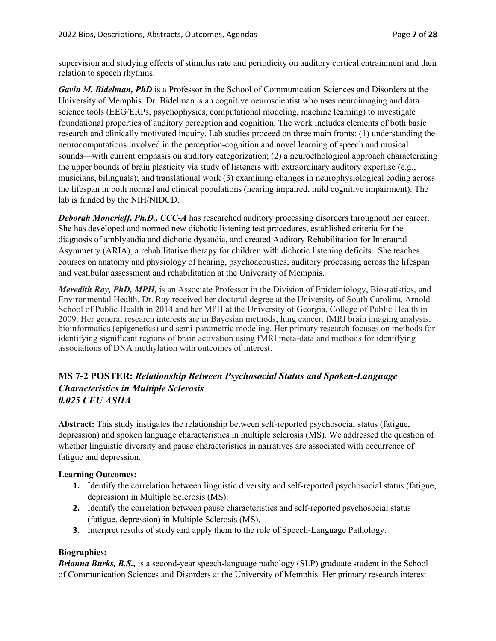supervision and studying effects of stimulus rate and periodicity on auditory cortical entrainment and their relation to speech rhythms.

*Gavin M. Bidelman, PhD* is a Professor in the School of Communication Sciences and Disorders at the University of Memphis. Dr. Bidelman is an cognitive neuroscientist who uses neuroimaging and data science tools (EEG/ERPs, psychophysics, computational modeling, machine learning) to investigate foundational properties of auditory perception and cognition. The work includes elements of both basic research and clinically motivated inquiry. Lab studies proceed on three main fronts: (1) understanding the neurocomputations involved in the perception-cognition and novel learning of speech and musical sounds—with current emphasis on auditory categorization; (2) a neuroethological approach characterizing the upper bounds of brain plasticity via study of listeners with extraordinary auditory expertise (e.g., musicians, bilinguals); and translational work (3) examining changes in neurophysiological coding across the lifespan in both normal and clinical populations (hearing impaired, mild cognitive impairment). The lab is funded by the NIH/NIDCD.

*Deborah Moncrieff, Ph.D., CCC-A* has researched auditory processing disorders throughout her career. She has developed and normed new dichotic listening test procedures, established criteria for the diagnosis of amblyaudia and dichotic dysaudia, and created Auditory Rehabilitation for Interaural Asymmetry (ARIA), a rehabilitative therapy for children with dichotic listening deficits. She teaches courses on anatomy and physiology of hearing, psychoacoustics, auditory processing across the lifespan and vestibular assessment and rehabilitation at the University of Memphis.

*Meredith Ray, PhD, MPH,* is an Associate Professor in the Division of Epidemiology, Biostatistics, and Environmental Health. Dr. Ray received her doctoral degree at the University of South Carolina, Arnold School of Public Health in 2014 and her MPH at the University of Georgia, College of Public Health in 2009. Her general research interests are in Bayesian methods, lung cancer, fMRI brain imaging analysis, bioinformatics (epigenetics) and semi-parametric modeling. Her primary research focuses on methods for identifying significant regions of brain activation using fMRI meta-data and methods for identifying associations of DNA methylation with outcomes of interest.

## **MS 7-2 POSTER:** *Relationship Between Psychosocial Status and Spoken-Language Characteristics in Multiple Sclerosis 0.025 CEU ASHA*

**Abstract:** This study instigates the relationship between self-reported psychosocial status (fatigue, depression) and spoken language characteristics in multiple sclerosis (MS). We addressed the question of whether linguistic diversity and pause characteristics in narratives are associated with occurrence of fatigue and depression.

## **Learning Outcomes:**

- **1.** Identify the correlation between linguistic diversity and self-reported psychosocial status (fatigue, depression) in Multiple Sclerosis (MS).
- **2.** Identify the correlation between pause characteristics and self-reported psychosocial status (fatigue, depression) in Multiple Sclerosis (MS).
- **3.** Interpret results of study and apply them to the role of Speech-Language Pathology.

## **Biographies:**

*Brianna Burks, B.S.,* is a second-year speech-language pathology (SLP) graduate student in the School of Communication Sciences and Disorders at the University of Memphis. Her primary research interest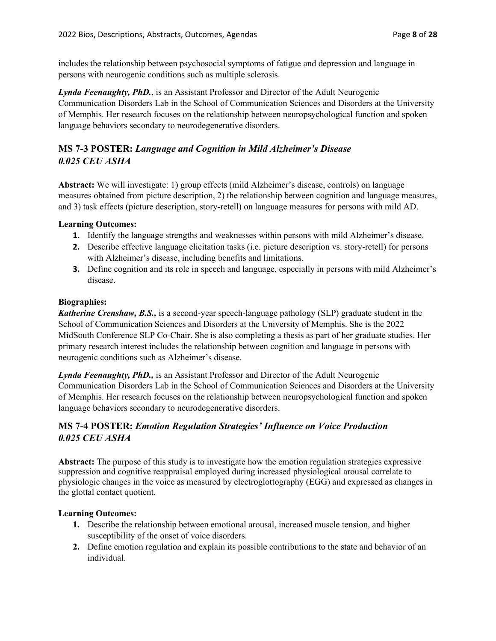includes the relationship between psychosocial symptoms of fatigue and depression and language in persons with neurogenic conditions such as multiple sclerosis.

*Lynda Feenaughty, PhD.*, is an Assistant Professor and Director of the Adult Neurogenic Communication Disorders Lab in the School of Communication Sciences and Disorders at the University of Memphis. Her research focuses on the relationship between neuropsychological function and spoken language behaviors secondary to neurodegenerative disorders.

## **MS 7-3 POSTER:** *Language and Cognition in Mild Alzheimer's Disease 0.025 CEU ASHA*

**Abstract:** We will investigate: 1) group effects (mild Alzheimer's disease, controls) on language measures obtained from picture description, 2) the relationship between cognition and language measures, and 3) task effects (picture description, story-retell) on language measures for persons with mild AD.

### **Learning Outcomes:**

- **1.** Identify the language strengths and weaknesses within persons with mild Alzheimer's disease.
- **2.** Describe effective language elicitation tasks (i.e. picture description vs. story-retell) for persons with Alzheimer's disease, including benefits and limitations.
- **3.** Define cognition and its role in speech and language, especially in persons with mild Alzheimer's disease.

### **Biographies:**

*Katherine Crenshaw, B.S.,* is a second-year speech-language pathology (SLP) graduate student in the School of Communication Sciences and Disorders at the University of Memphis. She is the 2022 MidSouth Conference SLP Co-Chair. She is also completing a thesis as part of her graduate studies. Her primary research interest includes the relationship between cognition and language in persons with neurogenic conditions such as Alzheimer's disease.

*Lynda Feenaughty, PhD.,* is an Assistant Professor and Director of the Adult Neurogenic Communication Disorders Lab in the School of Communication Sciences and Disorders at the University of Memphis. Her research focuses on the relationship between neuropsychological function and spoken language behaviors secondary to neurodegenerative disorders.

## **MS 7-4 POSTER:** *Emotion Regulation Strategies' Influence on Voice Production 0.025 CEU ASHA*

**Abstract:** The purpose of this study is to investigate how the emotion regulation strategies expressive suppression and cognitive reappraisal employed during increased physiological arousal correlate to physiologic changes in the voice as measured by electroglottography (EGG) and expressed as changes in the glottal contact quotient.

#### **Learning Outcomes:**

- **1.** Describe the relationship between emotional arousal, increased muscle tension, and higher susceptibility of the onset of voice disorders.
- **2.** Define emotion regulation and explain its possible contributions to the state and behavior of an individual.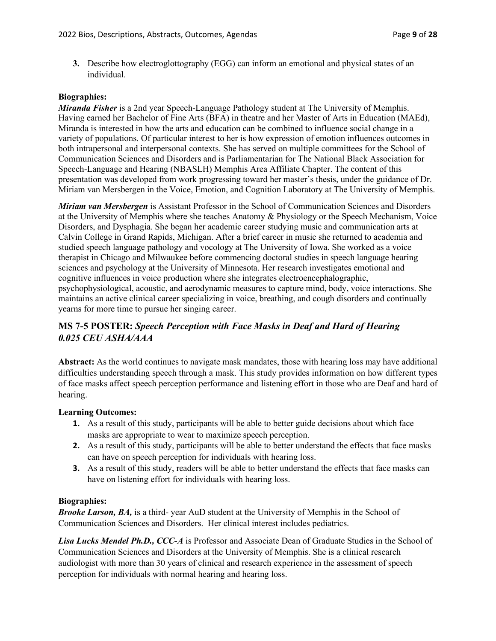**3.** Describe how electroglottography (EGG) can inform an emotional and physical states of an individual.

#### **Biographies:**

*Miranda Fisher* is a 2nd year Speech-Language Pathology student at The University of Memphis. Having earned her Bachelor of Fine Arts (BFA) in theatre and her Master of Arts in Education (MAEd), Miranda is interested in how the arts and education can be combined to influence social change in a variety of populations. Of particular interest to her is how expression of emotion influences outcomes in both intrapersonal and interpersonal contexts. She has served on multiple committees for the School of Communication Sciences and Disorders and is Parliamentarian for The National Black Association for Speech-Language and Hearing (NBASLH) Memphis Area Affiliate Chapter. The content of this presentation was developed from work progressing toward her master's thesis, under the guidance of Dr. Miriam van Mersbergen in the Voice, Emotion, and Cognition Laboratory at The University of Memphis.

*Miriam van Mersbergen* is Assistant Professor in the School of Communication Sciences and Disorders at the University of Memphis where she teaches Anatomy & Physiology or the Speech Mechanism, Voice Disorders, and Dysphagia. She began her academic career studying music and communication arts at Calvin College in Grand Rapids, Michigan. After a brief career in music she returned to academia and studied speech language pathology and vocology at The University of Iowa. She worked as a voice therapist in Chicago and Milwaukee before commencing doctoral studies in speech language hearing sciences and psychology at the University of Minnesota. Her research investigates emotional and cognitive influences in voice production where she integrates electroencephalographic, psychophysiological, acoustic, and aerodynamic measures to capture mind, body, voice interactions. She maintains an active clinical career specializing in voice, breathing, and cough disorders and continually yearns for more time to pursue her singing career.

## **MS 7-5 POSTER:** *Speech Perception with Face Masks in Deaf and Hard of Hearing 0.025 CEU ASHA/AAA*

**Abstract:** As the world continues to navigate mask mandates, those with hearing loss may have additional difficulties understanding speech through a mask. This study provides information on how different types of face masks affect speech perception performance and listening effort in those who are Deaf and hard of hearing.

#### **Learning Outcomes:**

- **1.** As a result of this study, participants will be able to better guide decisions about which face masks are appropriate to wear to maximize speech perception.
- **2.** As a result of this study, participants will be able to better understand the effects that face masks can have on speech perception for individuals with hearing loss.
- **3.** As a result of this study, readers will be able to better understand the effects that face masks can have on listening effort for individuals with hearing loss.

## **Biographies:**

*Brooke Larson, BA,* is a third- year AuD student at the University of Memphis in the School of Communication Sciences and Disorders. Her clinical interest includes pediatrics.

*Lisa Lucks Mendel Ph.D., CCC-A* is Professor and Associate Dean of Graduate Studies in the School of Communication Sciences and Disorders at the University of Memphis. She is a clinical research audiologist with more than 30 years of clinical and research experience in the assessment of speech perception for individuals with normal hearing and hearing loss.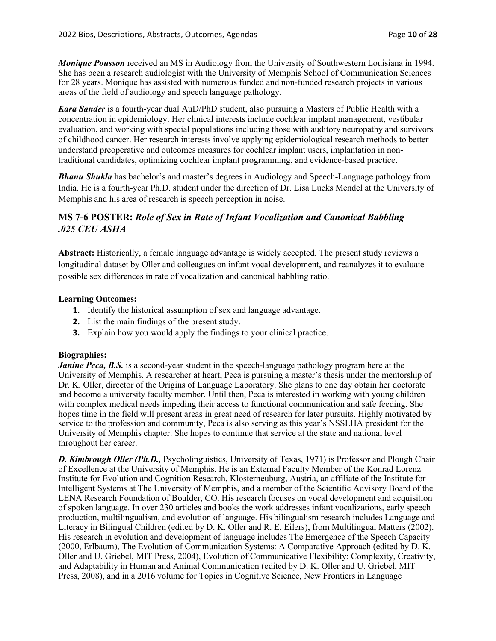*Monique Pousson* received an MS in Audiology from the University of Southwestern Louisiana in 1994. She has been a research audiologist with the University of Memphis School of Communication Sciences for 28 years. Monique has assisted with numerous funded and non-funded research projects in various areas of the field of audiology and speech language pathology.

*Kara Sander* is a fourth-year dual AuD/PhD student, also pursuing a Masters of Public Health with a concentration in epidemiology. Her clinical interests include cochlear implant management, vestibular evaluation, and working with special populations including those with auditory neuropathy and survivors of childhood cancer. Her research interests involve applying epidemiological research methods to better understand preoperative and outcomes measures for cochlear implant users, implantation in nontraditional candidates, optimizing cochlear implant programming, and evidence-based practice.

*Bhanu Shukla* has bachelor's and master's degrees in Audiology and Speech-Language pathology from India. He is a fourth-year Ph.D. student under the direction of Dr. Lisa Lucks Mendel at the University of Memphis and his area of research is speech perception in noise.

## **MS 7-6 POSTER:** *Role of Sex in Rate of Infant Vocalization and Canonical Babbling .025 CEU ASHA*

**Abstract:** Historically, a female language advantage is widely accepted. The present study reviews a longitudinal dataset by Oller and colleagues on infant vocal development, and reanalyzes it to evaluate possible sex differences in rate of vocalization and canonical babbling ratio.

### **Learning Outcomes:**

- **1.** Identify the historical assumption of sex and language advantage.
- **2.** List the main findings of the present study.
- **3.** Explain how you would apply the findings to your clinical practice.

## **Biographies:**

*Janine Peca, B.S.* is a second-year student in the speech-language pathology program here at the University of Memphis. A researcher at heart, Peca is pursuing a master's thesis under the mentorship of Dr. K. Oller, director of the Origins of Language Laboratory. She plans to one day obtain her doctorate and become a university faculty member. Until then, Peca is interested in working with young children with complex medical needs impeding their access to functional communication and safe feeding. She hopes time in the field will present areas in great need of research for later pursuits. Highly motivated by service to the profession and community, Peca is also serving as this year's NSSLHA president for the University of Memphis chapter. She hopes to continue that service at the state and national level throughout her career.

*D. Kimbrough Oller (Ph.D.,* Psycholinguistics, University of Texas, 1971) is Professor and Plough Chair of Excellence at the University of Memphis. He is an External Faculty Member of the Konrad Lorenz Institute for Evolution and Cognition Research, Klosterneuburg, Austria, an affiliate of the Institute for Intelligent Systems at The University of Memphis, and a member of the Scientific Advisory Board of the LENA Research Foundation of Boulder, CO. His research focuses on vocal development and acquisition of spoken language. In over 230 articles and books the work addresses infant vocalizations, early speech production, multilingualism, and evolution of language. His bilingualism research includes Language and Literacy in Bilingual Children (edited by D. K. Oller and R. E. Eilers), from Multilingual Matters (2002). His research in evolution and development of language includes The Emergence of the Speech Capacity (2000, Erlbaum), The Evolution of Communication Systems: A Comparative Approach (edited by D. K. Oller and U. Griebel, MIT Press, 2004), Evolution of Communicative Flexibility: Complexity, Creativity, and Adaptability in Human and Animal Communication (edited by D. K. Oller and U. Griebel, MIT Press, 2008), and in a 2016 volume for Topics in Cognitive Science, New Frontiers in Language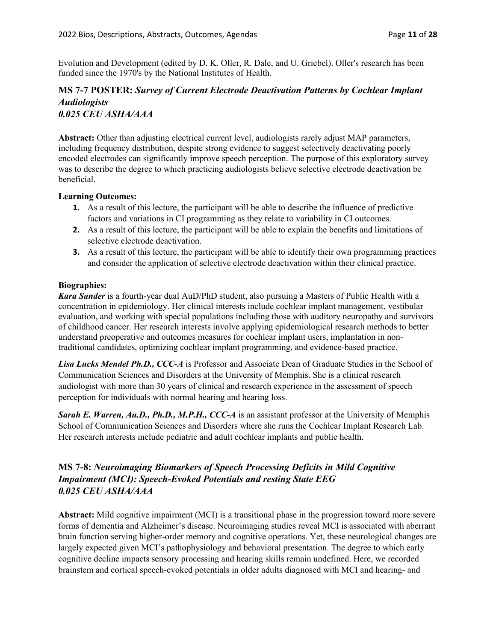Evolution and Development (edited by D. K. Oller, R. Dale, and U. Griebel). Oller's research has been funded since the 1970's by the National Institutes of Health.

## **MS 7-7 POSTER:** *Survey of Current Electrode Deactivation Patterns by Cochlear Implant Audiologists 0.025 CEU ASHA/AAA*

**Abstract:** Other than adjusting electrical current level, audiologists rarely adjust MAP parameters, including frequency distribution, despite strong evidence to suggest selectively deactivating poorly encoded electrodes can significantly improve speech perception. The purpose of this exploratory survey was to describe the degree to which practicing audiologists believe selective electrode deactivation be beneficial.

### **Learning Outcomes:**

- **1.** As a result of this lecture, the participant will be able to describe the influence of predictive factors and variations in CI programming as they relate to variability in CI outcomes.
- **2.** As a result of this lecture, the participant will be able to explain the benefits and limitations of selective electrode deactivation.
- **3.** As a result of this lecture, the participant will be able to identify their own programming practices and consider the application of selective electrode deactivation within their clinical practice.

### **Biographies:**

*Kara Sander* is a fourth-year dual AuD/PhD student, also pursuing a Masters of Public Health with a concentration in epidemiology. Her clinical interests include cochlear implant management, vestibular evaluation, and working with special populations including those with auditory neuropathy and survivors of childhood cancer. Her research interests involve applying epidemiological research methods to better understand preoperative and outcomes measures for cochlear implant users, implantation in nontraditional candidates, optimizing cochlear implant programming, and evidence-based practice.

Lisa Lucks Mendel Ph.D., CCC-A is Professor and Associate Dean of Graduate Studies in the School of Communication Sciences and Disorders at the University of Memphis. She is a clinical research audiologist with more than 30 years of clinical and research experience in the assessment of speech perception for individuals with normal hearing and hearing loss.

*Sarah E. Warren, Au.D., Ph.D., M.P.H., CCC-A* is an assistant professor at the University of Memphis School of Communication Sciences and Disorders where she runs the Cochlear Implant Research Lab. Her research interests include pediatric and adult cochlear implants and public health.

## **MS 7-8:** *Neuroimaging Biomarkers of Speech Processing Deficits in Mild Cognitive Impairment (MCI): Speech-Evoked Potentials and resting State EEG 0.025 CEU ASHA/AAA*

**Abstract:** Mild cognitive impairment (MCI) is a transitional phase in the progression toward more severe forms of dementia and Alzheimer's disease. Neuroimaging studies reveal MCI is associated with aberrant brain function serving higher-order memory and cognitive operations. Yet, these neurological changes are largely expected given MCI's pathophysiology and behavioral presentation. The degree to which early cognitive decline impacts sensory processing and hearing skills remain undefined. Here, we recorded brainstem and cortical speech-evoked potentials in older adults diagnosed with MCI and hearing- and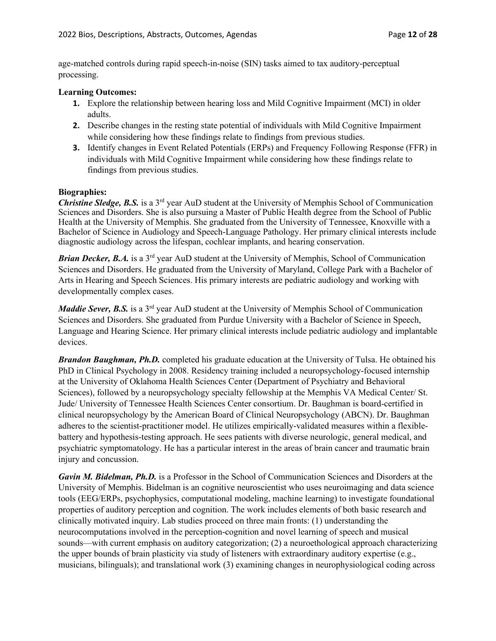age-matched controls during rapid speech-in-noise (SIN) tasks aimed to tax auditory-perceptual processing.

#### **Learning Outcomes:**

- **1.** Explore the relationship between hearing loss and Mild Cognitive Impairment (MCI) in older adults.
- **2.** Describe changes in the resting state potential of individuals with Mild Cognitive Impairment while considering how these findings relate to findings from previous studies.
- **3.** Identify changes in Event Related Potentials (ERPs) and Frequency Following Response (FFR) in individuals with Mild Cognitive Impairment while considering how these findings relate to findings from previous studies.

#### **Biographies:**

*Christine Sledge, B.S.* is a 3<sup>rd</sup> year AuD student at the University of Memphis School of Communication Sciences and Disorders. She is also pursuing a Master of Public Health degree from the School of Public Health at the University of Memphis. She graduated from the University of Tennessee, Knoxville with a Bachelor of Science in Audiology and Speech-Language Pathology. Her primary clinical interests include diagnostic audiology across the lifespan, cochlear implants, and hearing conservation.

*Brian Decker, B.A.* is a 3<sup>rd</sup> year AuD student at the University of Memphis, School of Communication Sciences and Disorders. He graduated from the University of Maryland, College Park with a Bachelor of Arts in Hearing and Speech Sciences. His primary interests are pediatric audiology and working with developmentally complex cases.

*Maddie Sever, B.S.* is a 3<sup>rd</sup> year AuD student at the University of Memphis School of Communication Sciences and Disorders. She graduated from Purdue University with a Bachelor of Science in Speech, Language and Hearing Science. Her primary clinical interests include pediatric audiology and implantable devices.

*Brandon Baughman, Ph.D.* completed his graduate education at the University of Tulsa. He obtained his PhD in Clinical Psychology in 2008. Residency training included a neuropsychology-focused internship at the University of Oklahoma Health Sciences Center (Department of Psychiatry and Behavioral Sciences), followed by a neuropsychology specialty fellowship at the Memphis VA Medical Center/ St. Jude/ University of Tennessee Health Sciences Center consortium. Dr. Baughman is board-certified in clinical neuropsychology by the American Board of Clinical Neuropsychology (ABCN). Dr. Baughman adheres to the scientist-practitioner model. He utilizes empirically-validated measures within a flexiblebattery and hypothesis-testing approach. He sees patients with diverse neurologic, general medical, and psychiatric symptomatology. He has a particular interest in the areas of brain cancer and traumatic brain injury and concussion.

*Gavin M. Bidelman, Ph.D.* is a Professor in the School of Communication Sciences and Disorders at the University of Memphis. Bidelman is an cognitive neuroscientist who uses neuroimaging and data science tools (EEG/ERPs, psychophysics, computational modeling, machine learning) to investigate foundational properties of auditory perception and cognition. The work includes elements of both basic research and clinically motivated inquiry. Lab studies proceed on three main fronts: (1) understanding the neurocomputations involved in the perception-cognition and novel learning of speech and musical sounds—with current emphasis on auditory categorization; (2) a neuroethological approach characterizing the upper bounds of brain plasticity via study of listeners with extraordinary auditory expertise (e.g., musicians, bilinguals); and translational work (3) examining changes in neurophysiological coding across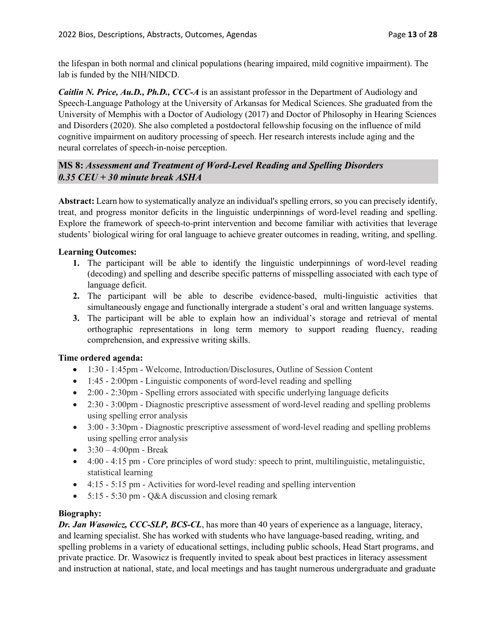the lifespan in both normal and clinical populations (hearing impaired, mild cognitive impairment). The lab is funded by the NIH/NIDCD.

*Caitlin N. Price, Au.D., Ph.D., CCC-A* is an assistant professor in the Department of Audiology and Speech-Language Pathology at the University of Arkansas for Medical Sciences. She graduated from the University of Memphis with a Doctor of Audiology (2017) and Doctor of Philosophy in Hearing Sciences and Disorders (2020). She also completed a postdoctoral fellowship focusing on the influence of mild cognitive impairment on auditory processing of speech. Her research interests include aging and the neural correlates of speech-in-noise perception.

## **MS 8:** *Assessment and Treatment of Word-Level Reading and Spelling Disorders 0.35 CEU + 30 minute break ASHA*

**Abstract:** Learn how to systematically analyze an individual's spelling errors, so you can precisely identify, treat, and progress monitor deficits in the linguistic underpinnings of word-level reading and spelling. Explore the framework of speech-to-print intervention and become familiar with activities that leverage students' biological wiring for oral language to achieve greater outcomes in reading, writing, and spelling.

## **Learning Outcomes:**

- **1.** The participant will be able to identify the linguistic underpinnings of word-level reading (decoding) and spelling and describe specific patterns of misspelling associated with each type of language deficit.
- **2.** The participant will be able to describe evidence-based, multi-linguistic activities that simultaneously engage and functionally intergrade a student's oral and written language systems.
- **3.** The participant will be able to explain how an individual's storage and retrieval of mental orthographic representations in long term memory to support reading fluency, reading comprehension, and expressive writing skills.

## **Time ordered agenda:**

- 1:30 1:45pm Welcome, Introduction/Disclosures, Outline of Session Content
- 1:45 2:00pm Linguistic components of word-level reading and spelling
- 2:00 2:30pm Spelling errors associated with specific underlying language deficits
- 2:30 3:00pm Diagnostic prescriptive assessment of word-level reading and spelling problems using spelling error analysis
- 3:00 3:30pm Diagnostic prescriptive assessment of word-level reading and spelling problems using spelling error analysis
- $3:30 4:00$ pm Break
- $\bullet$  4:00 4:15 pm Core principles of word study: speech to print, multilinguistic, metalinguistic, statistical learning
- 4:15 5:15 pm Activities for word-level reading and spelling intervention
- 5:15 5:30 pm Q&A discussion and closing remark

## **Biography:**

*Dr. Jan Wasowicz, CCC-SLP, BCS-CL*, has more than 40 years of experience as a language, literacy, and learning specialist. She has worked with students who have language-based reading, writing, and spelling problems in a variety of educational settings, including public schools, Head Start programs, and private practice. Dr. Wasowicz is frequently invited to speak about best practices in literacy assessment and instruction at national, state, and local meetings and has taught numerous undergraduate and graduate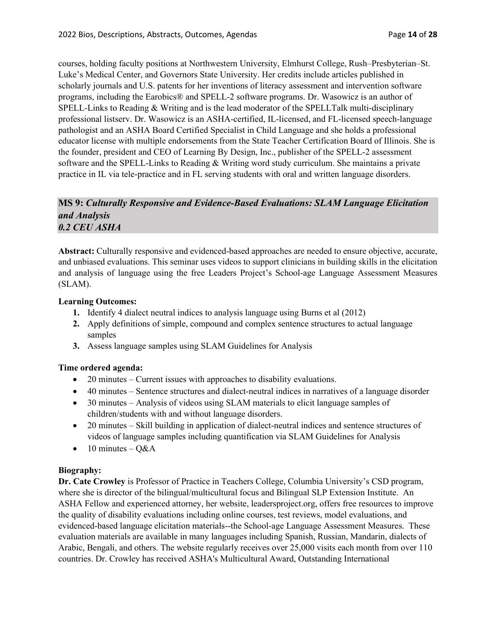courses, holding faculty positions at Northwestern University, Elmhurst College, Rush–Presbyterian–St. Luke's Medical Center, and Governors State University. Her credits include articles published in scholarly journals and U.S. patents for her inventions of literacy assessment and intervention software programs, including the Earobics® and SPELL-2 software programs. Dr. Wasowicz is an author of SPELL-Links to Reading & Writing and is the lead moderator of the SPELLTalk multi-disciplinary professional listserv. Dr. Wasowicz is an ASHA-certified, IL-licensed, and FL-licensed speech-language pathologist and an ASHA Board Certified Specialist in Child Language and she holds a professional educator license with multiple endorsements from the State Teacher Certification Board of Illinois. She is the founder, president and CEO of Learning By Design, Inc., publisher of the SPELL-2 assessment software and the SPELL-Links to Reading & Writing word study curriculum. She maintains a private practice in IL via tele-practice and in FL serving students with oral and written language disorders.

## **MS 9:** *Culturally Responsive and Evidence-Based Evaluations: SLAM Language Elicitation and Analysis 0.2 CEU ASHA*

**Abstract:** Culturally responsive and evidenced-based approaches are needed to ensure objective, accurate, and unbiased evaluations. This seminar uses videos to support clinicians in building skills in the elicitation and analysis of language using the free Leaders Project's School-age Language Assessment Measures (SLAM).

### **Learning Outcomes:**

- **1.** Identify 4 dialect neutral indices to analysis language using Burns et al (2012)
- **2.** Apply definitions of simple, compound and complex sentence structures to actual language samples
- **3.** Assess language samples using SLAM Guidelines for Analysis

## **Time ordered agenda:**

- 20 minutes Current issues with approaches to disability evaluations.
- 40 minutes Sentence structures and dialect-neutral indices in narratives of a language disorder
- 30 minutes Analysis of videos using SLAM materials to elicit language samples of children/students with and without language disorders.
- 20 minutes Skill building in application of dialect-neutral indices and sentence structures of videos of language samples including quantification via SLAM Guidelines for Analysis
- 10 minutes  $O&A$

## **Biography:**

**Dr. Cate Crowley** is Professor of Practice in Teachers College, Columbia University's CSD program, where she is director of the bilingual/multicultural focus and Bilingual SLP Extension Institute. An ASHA Fellow and experienced attorney, her website, leadersproject.org, offers free resources to improve the quality of disability evaluations including online courses, test reviews, model evaluations, and evidenced-based language elicitation materials--the School-age Language Assessment Measures. These evaluation materials are available in many languages including Spanish, Russian, Mandarin, dialects of Arabic, Bengali, and others. The website regularly receives over 25,000 visits each month from over 110 countries. Dr. Crowley has received ASHA's Multicultural Award, Outstanding International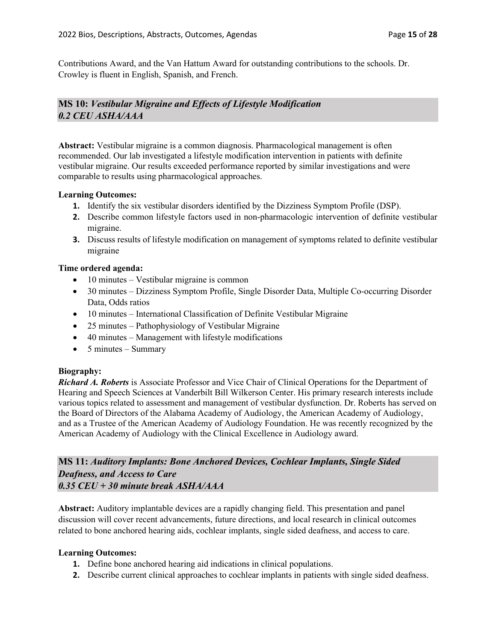Contributions Award, and the Van Hattum Award for outstanding contributions to the schools. Dr. Crowley is fluent in English, Spanish, and French.

## **MS 10:** *Vestibular Migraine and Effects of Lifestyle Modification 0.2 CEU ASHA/AAA*

**Abstract:** Vestibular migraine is a common diagnosis. Pharmacological management is often recommended. Our lab investigated a lifestyle modification intervention in patients with definite vestibular migraine. Our results exceeded performance reported by similar investigations and were comparable to results using pharmacological approaches.

### **Learning Outcomes:**

- **1.** Identify the six vestibular disorders identified by the Dizziness Symptom Profile (DSP).
- **2.** Describe common lifestyle factors used in non-pharmacologic intervention of definite vestibular migraine.
- **3.** Discuss results of lifestyle modification on management of symptoms related to definite vestibular migraine

### **Time ordered agenda:**

- 10 minutes Vestibular migraine is common
- 30 minutes Dizziness Symptom Profile, Single Disorder Data, Multiple Co-occurring Disorder Data, Odds ratios
- 10 minutes International Classification of Definite Vestibular Migraine
- 25 minutes Pathophysiology of Vestibular Migraine
- 40 minutes Management with lifestyle modifications
- $\bullet$  5 minutes Summary

## **Biography:**

*Richard A. Roberts* is Associate Professor and Vice Chair of Clinical Operations for the Department of Hearing and Speech Sciences at Vanderbilt Bill Wilkerson Center. His primary research interests include various topics related to assessment and management of vestibular dysfunction. Dr. Roberts has served on the Board of Directors of the Alabama Academy of Audiology, the American Academy of Audiology, and as a Trustee of the American Academy of Audiology Foundation. He was recently recognized by the American Academy of Audiology with the Clinical Excellence in Audiology award.

## **MS 11:** *Auditory Implants: Bone Anchored Devices, Cochlear Implants, Single Sided Deafness, and Access to Care 0.35 CEU + 30 minute break ASHA/AAA*

**Abstract:** Auditory implantable devices are a rapidly changing field. This presentation and panel discussion will cover recent advancements, future directions, and local research in clinical outcomes related to bone anchored hearing aids, cochlear implants, single sided deafness, and access to care.

#### **Learning Outcomes:**

- **1.** Define bone anchored hearing aid indications in clinical populations.
- **2.** Describe current clinical approaches to cochlear implants in patients with single sided deafness.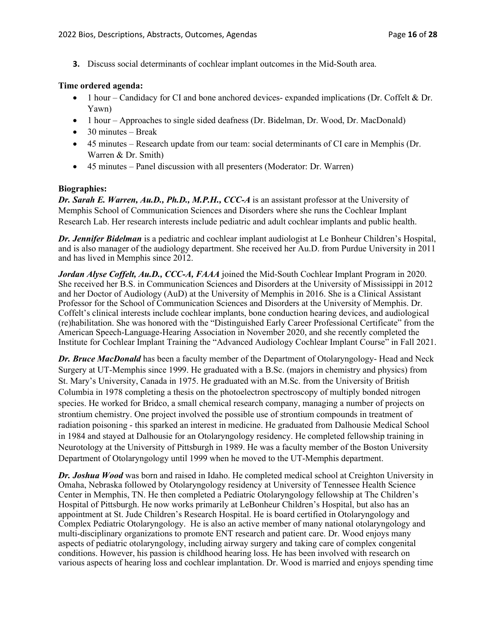**3.** Discuss social determinants of cochlear implant outcomes in the Mid-South area.

### **Time ordered agenda:**

- 1 hour Candidacy for CI and bone anchored devices- expanded implications (Dr. Coffelt & Dr. Yawn)
- 1 hour Approaches to single sided deafness (Dr. Bidelman, Dr. Wood, Dr. MacDonald)
- $\bullet$  30 minutes Break
- 45 minutes Research update from our team: social determinants of CI care in Memphis (Dr. Warren & Dr. Smith)
- 45 minutes Panel discussion with all presenters (Moderator: Dr. Warren)

#### **Biographies:**

*Dr. Sarah E. Warren, Au.D., Ph.D., M.P.H., CCC-A* is an assistant professor at the University of Memphis School of Communication Sciences and Disorders where she runs the Cochlear Implant Research Lab. Her research interests include pediatric and adult cochlear implants and public health.

*Dr. Jennifer Bidelman* is a pediatric and cochlear implant audiologist at Le Bonheur Children's Hospital, and is also manager of the audiology department. She received her Au.D. from Purdue University in 2011 and has lived in Memphis since 2012.

*Jordan Alyse Coffelt, Au.D., CCC-A, FAAA* joined the Mid-South Cochlear Implant Program in 2020. She received her B.S. in Communication Sciences and Disorders at the University of Mississippi in 2012 and her Doctor of Audiology (AuD) at the University of Memphis in 2016. She is a Clinical Assistant Professor for the School of Communication Sciences and Disorders at the University of Memphis. Dr. Coffelt's clinical interests include cochlear implants, bone conduction hearing devices, and audiological (re)habilitation. She was honored with the "Distinguished Early Career Professional Certificate" from the American Speech-Language-Hearing Association in November 2020, and she recently completed the Institute for Cochlear Implant Training the "Advanced Audiology Cochlear Implant Course" in Fall 2021.

*Dr. Bruce MacDonald* has been a faculty member of the Department of Otolaryngology- Head and Neck Surgery at UT-Memphis since 1999. He graduated with a B.Sc. (majors in chemistry and physics) from St. Mary's University, Canada in 1975. He graduated with an M.Sc. from the University of British Columbia in 1978 completing a thesis on the photoelectron spectroscopy of multiply bonded nitrogen species. He worked for Bridco, a small chemical research company, managing a number of projects on strontium chemistry. One project involved the possible use of strontium compounds in treatment of radiation poisoning - this sparked an interest in medicine. He graduated from Dalhousie Medical School in 1984 and stayed at Dalhousie for an Otolaryngology residency. He completed fellowship training in Neurotology at the University of Pittsburgh in 1989. He was a faculty member of the Boston University Department of Otolaryngology until 1999 when he moved to the UT-Memphis department.

*Dr. Joshua Wood* was born and raised in Idaho. He completed medical school at Creighton University in Omaha, Nebraska followed by Otolaryngology residency at University of Tennessee Health Science Center in Memphis, TN. He then completed a Pediatric Otolaryngology fellowship at The Children's Hospital of Pittsburgh. He now works primarily at LeBonheur Children's Hospital, but also has an appointment at St. Jude Children's Research Hospital. He is board certified in Otolaryngology and Complex Pediatric Otolaryngology. He is also an active member of many national otolaryngology and multi-disciplinary organizations to promote ENT research and patient care. Dr. Wood enjoys many aspects of pediatric otolaryngology, including airway surgery and taking care of complex congenital conditions. However, his passion is childhood hearing loss. He has been involved with research on various aspects of hearing loss and cochlear implantation. Dr. Wood is married and enjoys spending time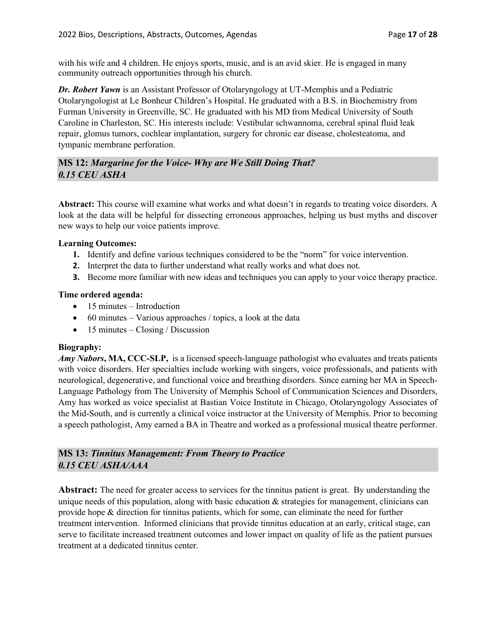with his wife and 4 children. He enjoys sports, music, and is an avid skier. He is engaged in many community outreach opportunities through his church.

*Dr. Robert Yawn* is an Assistant Professor of Otolaryngology at UT-Memphis and a Pediatric Otolaryngologist at Le Bonheur Children's Hospital. He graduated with a B.S. in Biochemistry from Furman University in Greenville, SC. He graduated with his MD from Medical University of South Caroline in Charleston, SC. His interests include: Vestibular schwannoma, cerebral spinal fluid leak repair, glomus tumors, cochlear implantation, surgery for chronic ear disease, cholesteatoma, and tympanic membrane perforation.

## **MS 12:** *Margarine for the Voice- Why are We Still Doing That? 0.15 CEU ASHA*

**Abstract:** This course will examine what works and what doesn't in regards to treating voice disorders. A look at the data will be helpful for dissecting erroneous approaches, helping us bust myths and discover new ways to help our voice patients improve.

### **Learning Outcomes:**

- **1.** Identify and define various techniques considered to be the "norm" for voice intervention.
- **2.** Interpret the data to further understand what really works and what does not.
- **3.** Become more familiar with new ideas and techniques you can apply to your voice therapy practice.

### **Time ordered agenda:**

- 15 minutes Introduction
- 60 minutes Various approaches / topics, a look at the data
- $\bullet$  15 minutes Closing / Discussion

#### **Biography:**

*Amy Nabors***, MA, CCC-SLP,** is a licensed speech-language pathologist who evaluates and treats patients with voice disorders. Her specialties include working with singers, voice professionals, and patients with neurological, degenerative, and functional voice and breathing disorders. Since earning her MA in Speech-Language Pathology from The University of Memphis School of Communication Sciences and Disorders, Amy has worked as voice specialist at Bastian Voice Institute in Chicago, Otolaryngology Associates of the Mid-South, and is currently a clinical voice instructor at the University of Memphis. Prior to becoming a speech pathologist, Amy earned a BA in Theatre and worked as a professional musical theatre performer.

## **MS 13:** *Tinnitus Management: From Theory to Practice 0.15 CEU ASHA/AAA*

**Abstract:** The need for greater access to services for the tinnitus patient is great. By understanding the unique needs of this population, along with basic education  $\&$  strategies for management, clinicians can provide hope & direction for tinnitus patients, which for some, can eliminate the need for further treatment intervention. Informed clinicians that provide tinnitus education at an early, critical stage, can serve to facilitate increased treatment outcomes and lower impact on quality of life as the patient pursues treatment at a dedicated tinnitus center.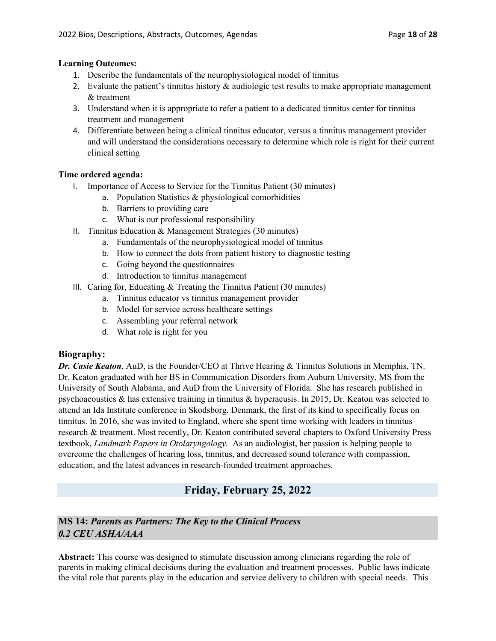#### **Learning Outcomes:**

- 1. Describe the fundamentals of the neurophysiological model of tinnitus
- 2. Evaluate the patient's tinnitus history  $\&$  audiologic test results to make appropriate management & treatment
- 3. Understand when it is appropriate to refer a patient to a dedicated tinnitus center for tinnitus treatment and management
- 4. Differentiate between being a clinical tinnitus educator, versus a tinnitus management provider and will understand the considerations necessary to determine which role is right for their current clinical setting

### **Time ordered agenda:**

- I. Importance of Access to Service for the Tinnitus Patient (30 minutes)
	- a. Population Statistics & physiological comorbidities
	- b. Barriers to providing care
	- c. What is our professional responsibility
- II. Tinnitus Education & Management Strategies (30 minutes)
	- a. Fundamentals of the neurophysiological model of tinnitus
	- b. How to connect the dots from patient history to diagnostic testing
	- c. Going beyond the questionnaires
	- d. Introduction to tinnitus management
- III. Caring for, Educating & Treating the Tinnitus Patient (30 minutes)
	- a. Tinnitus educator vs tinnitus management provider
	- b. Model for service across healthcare settings
	- c. Assembling your referral network
	- d. What role is right for you

## **Biography:**

*Dr. Casie Keaton*, AuD, is the Founder/CEO at Thrive Hearing & Tinnitus Solutions in Memphis, TN. Dr. Keaton graduated with her BS in Communication Disorders from Auburn University, MS from the University of South Alabama, and AuD from the University of Florida. She has research published in psychoacoustics & has extensive training in tinnitus & hyperacusis. In 2015, Dr. Keaton was selected to attend an Ida Institute conference in Skodsborg, Denmark, the first of its kind to specifically focus on tinnitus. In 2016, she was invited to England, where she spent time working with leaders in tinnitus research & treatment. Most recently, Dr. Keaton contributed several chapters to Oxford University Press textbook, *Landmark Papers in Otolaryngology.* As an audiologist, her passion is helping people to overcome the challenges of hearing loss, tinnitus, and decreased sound tolerance with compassion, education, and the latest advances in research-founded treatment approaches.

## **Friday, February 25, 2022**

## **MS 14:** *Parents as Partners: The Key to the Clinical Process 0.2 CEU ASHA/AAA*

**Abstract:** This course was designed to stimulate discussion among clinicians regarding the role of parents in making clinical decisions during the evaluation and treatment processes. Public laws indicate the vital role that parents play in the education and service delivery to children with special needs. This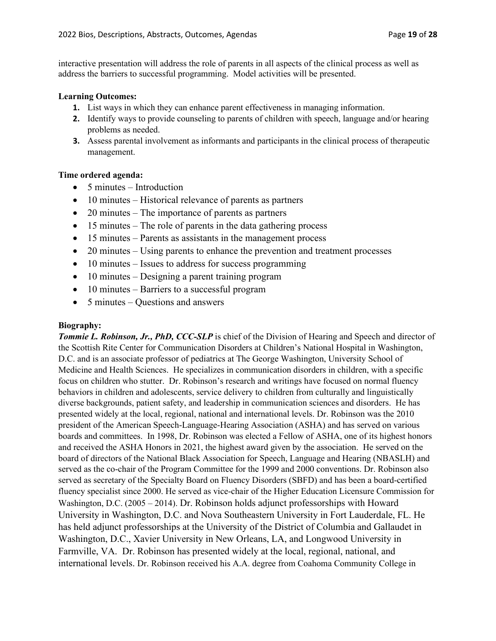interactive presentation will address the role of parents in all aspects of the clinical process as well as address the barriers to successful programming. Model activities will be presented.

#### **Learning Outcomes:**

- **1.** List ways in which they can enhance parent effectiveness in managing information.
- **2.** Identify ways to provide counseling to parents of children with speech, language and/or hearing problems as needed.
- **3.** Assess parental involvement as informants and participants in the clinical process of therapeutic management.

#### **Time ordered agenda:**

- 5 minutes Introduction
- 10 minutes Historical relevance of parents as partners
- 20 minutes The importance of parents as partners
- 15 minutes The role of parents in the data gathering process
- 15 minutes Parents as assistants in the management process
- 20 minutes Using parents to enhance the prevention and treatment processes
- 10 minutes Issues to address for success programming
- 10 minutes Designing a parent training program
- 10 minutes Barriers to a successful program
- 5 minutes Questions and answers

#### **Biography:**

**Tommie L. Robinson, Jr., PhD, CCC-SLP** is chief of the Division of Hearing and Speech and director of the Scottish Rite Center for Communication Disorders at Children's National Hospital in Washington, D.C. and is an associate professor of pediatrics at The George Washington, University School of Medicine and Health Sciences. He specializes in communication disorders in children, with a specific focus on children who stutter. Dr. Robinson's research and writings have focused on normal fluency behaviors in children and adolescents, service delivery to children from culturally and linguistically diverse backgrounds, patient safety, and leadership in communication sciences and disorders. He has presented widely at the local, regional, national and international levels. Dr. Robinson was the 2010 president of the American Speech-Language-Hearing Association (ASHA) and has served on various boards and committees. In 1998, Dr. Robinson was elected a Fellow of ASHA, one of its highest honors and received the ASHA Honors in 2021, the highest award given by the association. He served on the board of directors of the National Black Association for Speech, Language and Hearing (NBASLH) and served as the co-chair of the Program Committee for the 1999 and 2000 conventions. Dr. Robinson also served as secretary of the Specialty Board on Fluency Disorders (SBFD) and has been a board-certified fluency specialist since 2000. He served as vice-chair of the Higher Education Licensure Commission for Washington, D.C. (2005 – 2014). Dr. Robinson holds adjunct professorships with Howard University in Washington, D.C. and Nova Southeastern University in Fort Lauderdale, FL. He has held adjunct professorships at the University of the District of Columbia and Gallaudet in Washington, D.C., Xavier University in New Orleans, LA, and Longwood University in Farmville, VA. Dr. Robinson has presented widely at the local, regional, national, and international levels. Dr. Robinson received his A.A. degree from Coahoma Community College in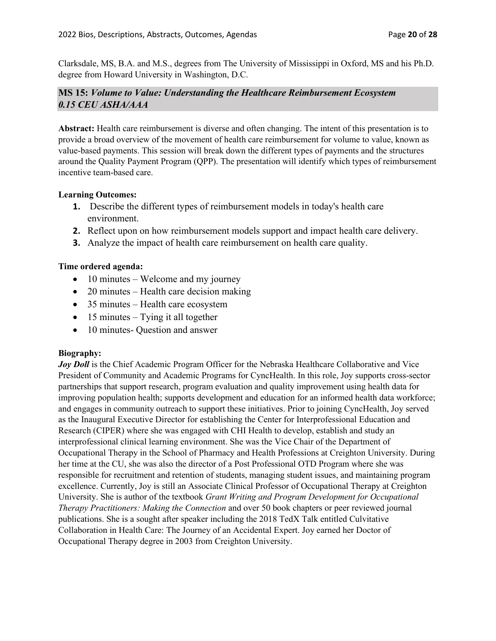Clarksdale, MS, B.A. and M.S., degrees from The University of Mississippi in Oxford, MS and his Ph.D. degree from Howard University in Washington, D.C.

## **MS 15:** *Volume to Value: Understanding the Healthcare Reimbursement Ecosystem 0.15 CEU ASHA/AAA*

**Abstract:** Health care reimbursement is diverse and often changing. The intent of this presentation is to provide a broad overview of the movement of health care reimbursement for volume to value, known as value-based payments. This session will break down the different types of payments and the structures around the Quality Payment Program (QPP). The presentation will identify which types of reimbursement incentive team-based care.

### **Learning Outcomes:**

- **1.** Describe the different types of reimbursement models in today's health care environment.
- **2.** Reflect upon on how reimbursement models support and impact health care delivery.
- **3.** Analyze the impact of health care reimbursement on health care quality.

### **Time ordered agenda:**

- 10 minutes Welcome and my journey
- 20 minutes Health care decision making
- 35 minutes Health care ecosystem
- $\bullet$  15 minutes Tying it all together
- 10 minutes- Question and answer

## **Biography:**

*Joy Doll* is the Chief Academic Program Officer for the Nebraska Healthcare Collaborative and Vice President of Community and Academic Programs for CyncHealth. In this role, Joy supports cross-sector partnerships that support research, program evaluation and quality improvement using health data for improving population health; supports development and education for an informed health data workforce; and engages in community outreach to support these initiatives. Prior to joining CyncHealth, Joy served as the Inaugural Executive Director for establishing the Center for Interprofessional Education and Research (CIPER) where she was engaged with CHI Health to develop, establish and study an interprofessional clinical learning environment. She was the Vice Chair of the Department of Occupational Therapy in the School of Pharmacy and Health Professions at Creighton University. During her time at the CU, she was also the director of a Post Professional OTD Program where she was responsible for recruitment and retention of students, managing student issues, and maintaining program excellence. Currently, Joy is still an Associate Clinical Professor of Occupational Therapy at Creighton University. She is author of the textbook *Grant Writing and Program Development for Occupational Therapy Practitioners: Making the Connection* and over 50 book chapters or peer reviewed journal publications. She is a sought after speaker including the 2018 TedX Talk entitled Culvitative Collaboration in Health Care: The Journey of an Accidental Expert. Joy earned her Doctor of Occupational Therapy degree in 2003 from Creighton University.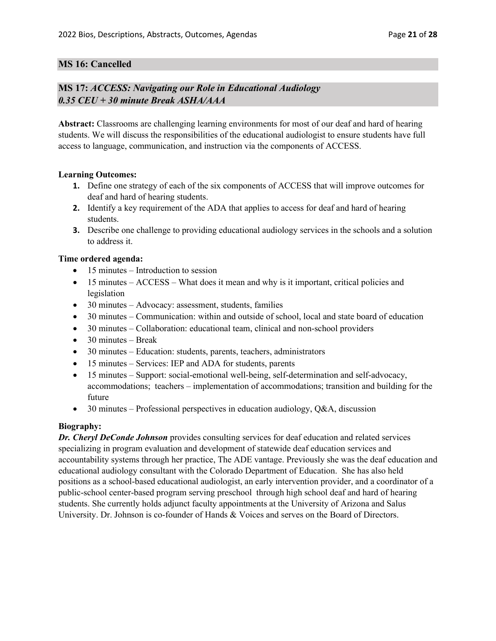## **MS 16: Cancelled**

## **MS 17:** *ACCESS: Navigating our Role in Educational Audiology 0.35 CEU + 30 minute Break ASHA/AAA*

**Abstract:** Classrooms are challenging learning environments for most of our deaf and hard of hearing students. We will discuss the responsibilities of the educational audiologist to ensure students have full access to language, communication, and instruction via the components of ACCESS.

#### **Learning Outcomes:**

- **1.** Define one strategy of each of the six components of ACCESS that will improve outcomes for deaf and hard of hearing students.
- **2.** Identify a key requirement of the ADA that applies to access for deaf and hard of hearing students.
- **3.** Describe one challenge to providing educational audiology services in the schools and a solution to address it.

#### **Time ordered agenda:**

- 15 minutes Introduction to session
- 15 minutes ACCESS What does it mean and why is it important, critical policies and legislation
- 30 minutes Advocacy: assessment, students, families
- 30 minutes Communication: within and outside of school, local and state board of education
- 30 minutes Collaboration: educational team, clinical and non-school providers
- $\bullet$  30 minutes Break
- 30 minutes Education: students, parents, teachers, administrators
- 15 minutes Services: IEP and ADA for students, parents
- 15 minutes Support: social-emotional well-being, self-determination and self-advocacy, accommodations; teachers – implementation of accommodations; transition and building for the future
- 30 minutes Professional perspectives in education audiology,  $Q&A$ , discussion

#### **Biography:**

*Dr. Cheryl DeConde Johnson* provides consulting services for deaf education and related services specializing in program evaluation and development of statewide deaf education services and accountability systems through her practice, The ADE vantage. Previously she was the deaf education and educational audiology consultant with the Colorado Department of Education. She has also held positions as a school-based educational audiologist, an early intervention provider, and a coordinator of a public-school center-based program serving preschool through high school deaf and hard of hearing students. She currently holds adjunct faculty appointments at the University of Arizona and Salus University. Dr. Johnson is co-founder of Hands & Voices and serves on the Board of Directors.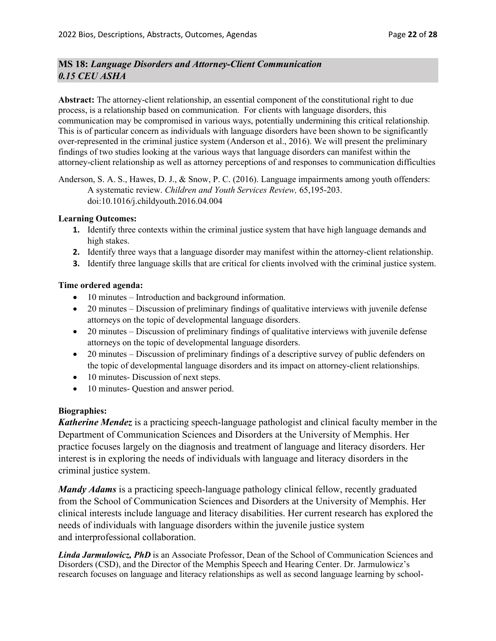## **MS 18:** *Language Disorders and Attorney-Client Communication 0.15 CEU ASHA*

**Abstract:** The attorney-client relationship, an essential component of the constitutional right to due process, is a relationship based on communication. For clients with language disorders, this communication may be compromised in various ways, potentially undermining this critical relationship. This is of particular concern as individuals with language disorders have been shown to be significantly over-represented in the criminal justice system (Anderson et al., 2016). We will present the preliminary findings of two studies looking at the various ways that language disorders can manifest within the attorney-client relationship as well as attorney perceptions of and responses to communication difficulties

Anderson, S. A. S., Hawes, D. J., & Snow, P. C. (2016). Language impairments among youth offenders: A systematic review. *Children and Youth Services Review,* 65,195-203. doi:10.1016/j.childyouth.2016.04.004

### **Learning Outcomes:**

- **1.** Identify three contexts within the criminal justice system that have high language demands and high stakes.
- **2.** Identify three ways that a language disorder may manifest within the attorney-client relationship.
- **3.** Identify three language skills that are critical for clients involved with the criminal justice system.

### **Time ordered agenda:**

- 10 minutes Introduction and background information.
- 20 minutes Discussion of preliminary findings of qualitative interviews with juvenile defense attorneys on the topic of developmental language disorders.
- 20 minutes Discussion of preliminary findings of qualitative interviews with juvenile defense attorneys on the topic of developmental language disorders.
- 20 minutes Discussion of preliminary findings of a descriptive survey of public defenders on the topic of developmental language disorders and its impact on attorney-client relationships.
- 10 minutes- Discussion of next steps.
- 10 minutes- Question and answer period.

## **Biographies:**

*Katherine Mendez* is a practicing speech-language pathologist and clinical faculty member in the Department of Communication Sciences and Disorders at the University of Memphis. Her practice focuses largely on the diagnosis and treatment of language and literacy disorders. Her interest is in exploring the needs of individuals with language and literacy disorders in the criminal justice system.

*Mandy Adams* is a practicing speech-language pathology clinical fellow, recently graduated from the School of Communication Sciences and Disorders at the University of Memphis. Her clinical interests include language and literacy disabilities. Her current research has explored the needs of individuals with language disorders within the juvenile justice system and interprofessional collaboration.

*Linda Jarmulowicz, PhD* is an Associate Professor, Dean of the School of Communication Sciences and Disorders (CSD), and the Director of the Memphis Speech and Hearing Center. Dr. Jarmulowicz's research focuses on language and literacy relationships as well as second language learning by school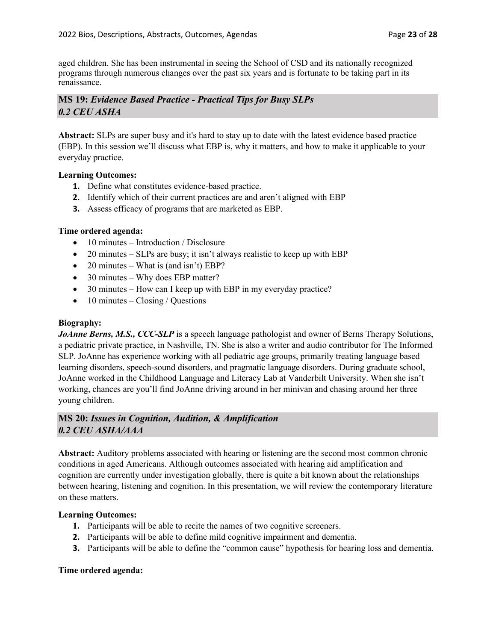aged children. She has been instrumental in seeing the School of CSD and its nationally recognized programs through numerous changes over the past six years and is fortunate to be taking part in its renaissance.

## **MS 19:** *Evidence Based Practice - Practical Tips for Busy SLPs 0.2 CEU ASHA*

**Abstract:** SLPs are super busy and it's hard to stay up to date with the latest evidence based practice (EBP). In this session we'll discuss what EBP is, why it matters, and how to make it applicable to your everyday practice.

#### **Learning Outcomes:**

- **1.** Define what constitutes evidence-based practice.
- **2.** Identify which of their current practices are and aren't aligned with EBP
- **3.** Assess efficacy of programs that are marketed as EBP.

#### **Time ordered agenda:**

- 10 minutes Introduction / Disclosure
- 20 minutes SLPs are busy; it isn't always realistic to keep up with EBP
- 20 minutes What is (and isn't) EBP?
- 30 minutes Why does EBP matter?
- 30 minutes How can I keep up with EBP in my everyday practice?
- $\bullet$  10 minutes Closing / Questions

#### **Biography:**

*JoAnne Berns, M.S., CCC-SLP* is a speech language pathologist and owner of Berns Therapy Solutions, a pediatric private practice, in Nashville, TN. She is also a writer and audio contributor for The Informed SLP. JoAnne has experience working with all pediatric age groups, primarily treating language based learning disorders, speech-sound disorders, and pragmatic language disorders. During graduate school, JoAnne worked in the Childhood Language and Literacy Lab at Vanderbilt University. When she isn't working, chances are you'll find JoAnne driving around in her minivan and chasing around her three young children.

## **MS 20:** *Issues in Cognition, Audition, & Amplification 0.2 CEU ASHA/AAA*

**Abstract:** Auditory problems associated with hearing or listening are the second most common chronic conditions in aged Americans. Although outcomes associated with hearing aid amplification and cognition are currently under investigation globally, there is quite a bit known about the relationships between hearing, listening and cognition. In this presentation, we will review the contemporary literature on these matters.

#### **Learning Outcomes:**

- **1.** Participants will be able to recite the names of two cognitive screeners.
- **2.** Participants will be able to define mild cognitive impairment and dementia.
- **3.** Participants will be able to define the "common cause" hypothesis for hearing loss and dementia.

#### **Time ordered agenda:**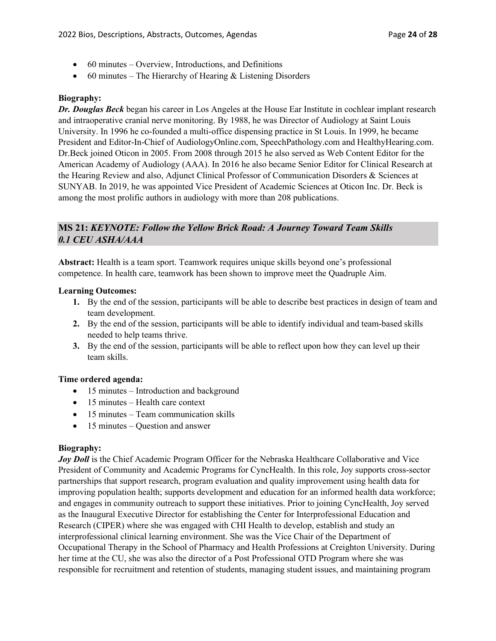- 60 minutes Overview, Introductions, and Definitions
- 60 minutes The Hierarchy of Hearing  $&$  Listening Disorders

### **Biography:**

*Dr. Douglas Beck* began his career in Los Angeles at the House Ear Institute in cochlear implant research and intraoperative cranial nerve monitoring. By 1988, he was Director of Audiology at Saint Louis University. In 1996 he co-founded a multi-office dispensing practice in St Louis. In 1999, he became President and Editor-In-Chief of AudiologyOnline.com, SpeechPathology.com and HealthyHearing.com. Dr.Beck joined Oticon in 2005. From 2008 through 2015 he also served as Web Content Editor for the American Academy of Audiology (AAA). In 2016 he also became Senior Editor for Clinical Research at the Hearing Review and also, Adjunct Clinical Professor of Communication Disorders & Sciences at SUNYAB. In 2019, he was appointed Vice President of Academic Sciences at Oticon Inc. Dr. Beck is among the most prolific authors in audiology with more than 208 publications.

## **MS 21:** *KEYNOTE: Follow the Yellow Brick Road: A Journey Toward Team Skills 0.1 CEU ASHA/AAA*

**Abstract:** Health is a team sport. Teamwork requires unique skills beyond one's professional competence. In health care, teamwork has been shown to improve meet the Quadruple Aim.

#### **Learning Outcomes:**

- **1.** By the end of the session, participants will be able to describe best practices in design of team and team development.
- **2.** By the end of the session, participants will be able to identify individual and team-based skills needed to help teams thrive.
- **3.** By the end of the session, participants will be able to reflect upon how they can level up their team skills.

#### **Time ordered agenda:**

- 15 minutes Introduction and background
- 15 minutes Health care context
- 15 minutes Team communication skills
- 15 minutes Question and answer

#### **Biography:**

*Joy Doll* is the Chief Academic Program Officer for the Nebraska Healthcare Collaborative and Vice President of Community and Academic Programs for CyncHealth. In this role, Joy supports cross-sector partnerships that support research, program evaluation and quality improvement using health data for improving population health; supports development and education for an informed health data workforce; and engages in community outreach to support these initiatives. Prior to joining CyncHealth, Joy served as the Inaugural Executive Director for establishing the Center for Interprofessional Education and Research (CIPER) where she was engaged with CHI Health to develop, establish and study an interprofessional clinical learning environment. She was the Vice Chair of the Department of Occupational Therapy in the School of Pharmacy and Health Professions at Creighton University. During her time at the CU, she was also the director of a Post Professional OTD Program where she was responsible for recruitment and retention of students, managing student issues, and maintaining program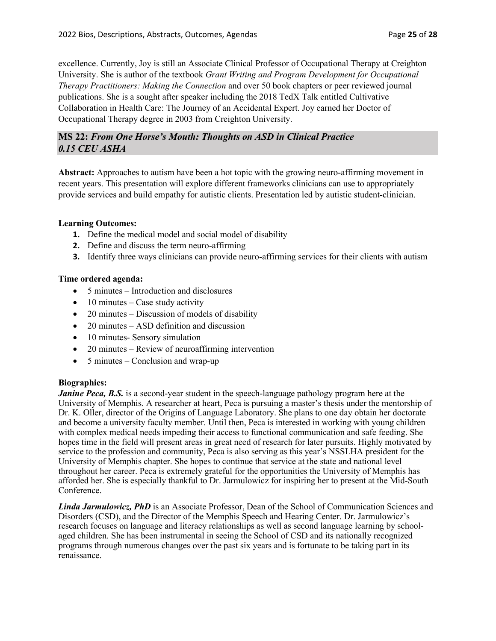excellence. Currently, Joy is still an Associate Clinical Professor of Occupational Therapy at Creighton University. She is author of the textbook *Grant Writing and Program Development for Occupational Therapy Practitioners: Making the Connection* and over 50 book chapters or peer reviewed journal publications. She is a sought after speaker including the 2018 TedX Talk entitled Cultivative Collaboration in Health Care: The Journey of an Accidental Expert. Joy earned her Doctor of Occupational Therapy degree in 2003 from Creighton University.

## **MS 22:** *From One Horse's Mouth: Thoughts on ASD in Clinical Practice 0.15 CEU ASHA*

**Abstract:** Approaches to autism have been a hot topic with the growing neuro-affirming movement in recent years. This presentation will explore different frameworks clinicians can use to appropriately provide services and build empathy for autistic clients. Presentation led by autistic student-clinician.

### **Learning Outcomes:**

- **1.** Define the medical model and social model of disability
- **2.** Define and discuss the term neuro-affirming
- **3.** Identify three ways clinicians can provide neuro-affirming services for their clients with autism

### **Time ordered agenda:**

- 5 minutes Introduction and disclosures
- $\bullet$  10 minutes Case study activity
- $\bullet$  20 minutes Discussion of models of disability
- 20 minutes ASD definition and discussion
- 10 minutes- Sensory simulation
- 20 minutes Review of neuroaffirming intervention
- 5 minutes Conclusion and wrap-up

#### **Biographies:**

*Janine Peca, B.S.* is a second-year student in the speech-language pathology program here at the University of Memphis. A researcher at heart, Peca is pursuing a master's thesis under the mentorship of Dr. K. Oller, director of the Origins of Language Laboratory. She plans to one day obtain her doctorate and become a university faculty member. Until then, Peca is interested in working with young children with complex medical needs impeding their access to functional communication and safe feeding. She hopes time in the field will present areas in great need of research for later pursuits. Highly motivated by service to the profession and community, Peca is also serving as this year's NSSLHA president for the University of Memphis chapter. She hopes to continue that service at the state and national level throughout her career. Peca is extremely grateful for the opportunities the University of Memphis has afforded her. She is especially thankful to Dr. Jarmulowicz for inspiring her to present at the Mid-South Conference.

*Linda Jarmulowicz, PhD* is an Associate Professor, Dean of the School of Communication Sciences and Disorders (CSD), and the Director of the Memphis Speech and Hearing Center. Dr. Jarmulowicz's research focuses on language and literacy relationships as well as second language learning by schoolaged children. She has been instrumental in seeing the School of CSD and its nationally recognized programs through numerous changes over the past six years and is fortunate to be taking part in its renaissance.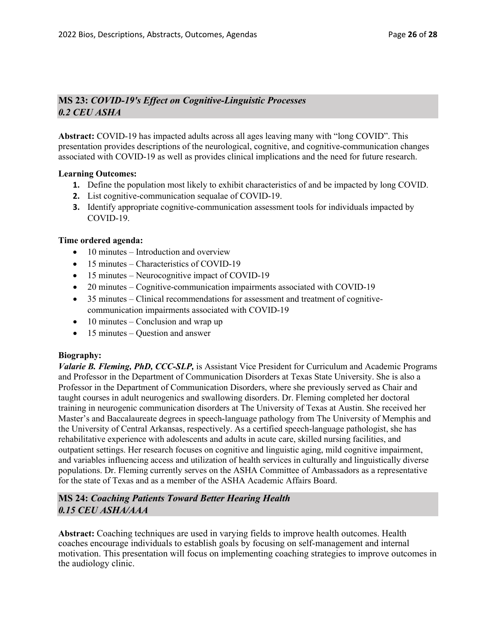## **MS 23:** *COVID-19's Effect on Cognitive-Linguistic Processes 0.2 CEU ASHA*

**Abstract:** COVID-19 has impacted adults across all ages leaving many with "long COVID". This presentation provides descriptions of the neurological, cognitive, and cognitive-communication changes associated with COVID-19 as well as provides clinical implications and the need for future research.

#### **Learning Outcomes:**

- **1.** Define the population most likely to exhibit characteristics of and be impacted by long COVID.
- **2.** List cognitive-communication sequalae of COVID-19.
- **3.** Identify appropriate cognitive-communication assessment tools for individuals impacted by COVID-19.

#### **Time ordered agenda:**

- 10 minutes Introduction and overview
- 15 minutes Characteristics of COVID-19
- 15 minutes Neurocognitive impact of COVID-19
- 20 minutes Cognitive-communication impairments associated with COVID-19
- 35 minutes Clinical recommendations for assessment and treatment of cognitivecommunication impairments associated with COVID-19
- $\bullet$  10 minutes Conclusion and wrap up
- 15 minutes Question and answer

#### **Biography:**

*Valarie B. Fleming, PhD, CCC-SLP,* is Assistant Vice President for Curriculum and Academic Programs and Professor in the Department of Communication Disorders at Texas State University. She is also a Professor in the Department of Communication Disorders, where she previously served as Chair and taught courses in adult neurogenics and swallowing disorders. Dr. Fleming completed her doctoral training in neurogenic communication disorders at The University of Texas at Austin. She received her Master's and Baccalaureate degrees in speech-language pathology from The University of Memphis and the University of Central Arkansas, respectively. As a certified speech-language pathologist, she has rehabilitative experience with adolescents and adults in acute care, skilled nursing facilities, and outpatient settings. Her research focuses on cognitive and linguistic aging, mild cognitive impairment, and variables influencing access and utilization of health services in culturally and linguistically diverse populations. Dr. Fleming currently serves on the ASHA Committee of Ambassadors as a representative for the state of Texas and as a member of the ASHA Academic Affairs Board.

## **MS 24:** *Coaching Patients Toward Better Hearing Health 0.15 CEU ASHA/AAA*

**Abstract:** Coaching techniques are used in varying fields to improve health outcomes. Health coaches encourage individuals to establish goals by focusing on self-management and internal motivation. This presentation will focus on implementing coaching strategies to improve outcomes in the audiology clinic.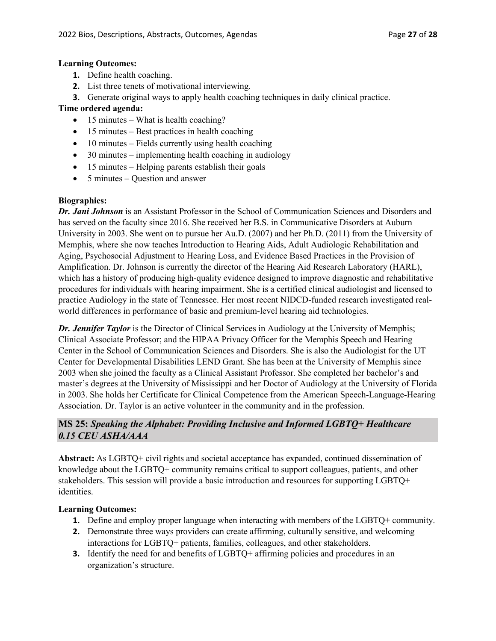#### **Learning Outcomes:**

- **1.** Define health coaching.
- **2.** List three tenets of motivational interviewing.
- **3.** Generate original ways to apply health coaching techniques in daily clinical practice.

## **Time ordered agenda:**

- 15 minutes What is health coaching?
- 15 minutes Best practices in health coaching
- $\bullet$  10 minutes Fields currently using health coaching
- 30 minutes implementing health coaching in audiology
- 15 minutes Helping parents establish their goals
- 5 minutes Question and answer

## **Biographies:**

*Dr. Jani Johnson* is an Assistant Professor in the School of Communication Sciences and Disorders and has served on the faculty since 2016. She received her B.S. in Communicative Disorders at Auburn University in 2003. She went on to pursue her Au.D. (2007) and her Ph.D. (2011) from the University of Memphis, where she now teaches Introduction to Hearing Aids, Adult Audiologic Rehabilitation and Aging, Psychosocial Adjustment to Hearing Loss, and Evidence Based Practices in the Provision of Amplification. Dr. Johnson is currently the director of the Hearing Aid Research Laboratory (HARL), which has a history of producing high-quality evidence designed to improve diagnostic and rehabilitative procedures for individuals with hearing impairment. She is a certified clinical audiologist and licensed to practice Audiology in the state of Tennessee. Her most recent NIDCD-funded research investigated realworld differences in performance of basic and premium-level hearing aid technologies.

*Dr. Jennifer Taylor* is the Director of Clinical Services in Audiology at the University of Memphis; Clinical Associate Professor; and the HIPAA Privacy Officer for the Memphis Speech and Hearing Center in the School of Communication Sciences and Disorders. She is also the Audiologist for the UT Center for Developmental Disabilities LEND Grant. She has been at the University of Memphis since 2003 when she joined the faculty as a Clinical Assistant Professor. She completed her bachelor's and master's degrees at the University of Mississippi and her Doctor of Audiology at the University of Florida in 2003. She holds her Certificate for Clinical Competence from the American Speech-Language-Hearing Association. Dr. Taylor is an active volunteer in the community and in the profession.

## **MS 25:** *Speaking the Alphabet: Providing Inclusive and Informed LGBTQ+ Healthcare 0.15 CEU ASHA/AAA*

**Abstract:** As LGBTQ+ civil rights and societal acceptance has expanded, continued dissemination of knowledge about the LGBTQ+ community remains critical to support colleagues, patients, and other stakeholders. This session will provide a basic introduction and resources for supporting LGBTQ+ identities.

## **Learning Outcomes:**

- **1.** Define and employ proper language when interacting with members of the LGBTQ+ community.
- **2.** Demonstrate three ways providers can create affirming, culturally sensitive, and welcoming interactions for LGBTQ+ patients, families, colleagues, and other stakeholders.
- **3.** Identify the need for and benefits of LGBTQ+ affirming policies and procedures in an organization's structure.